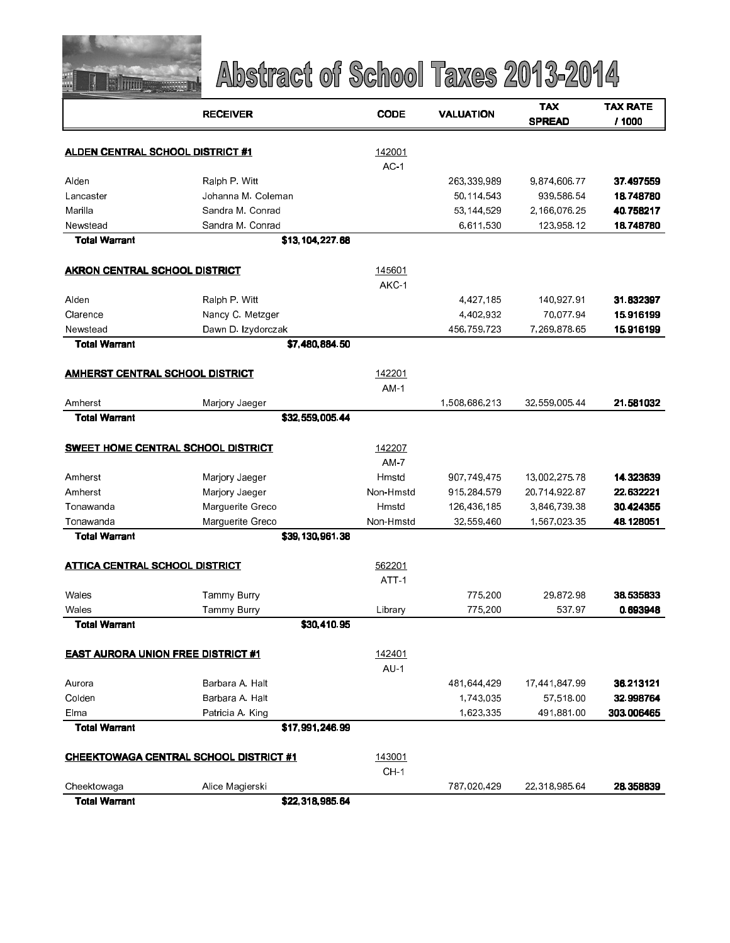

|                                           | <b>RECEIVER</b>                               | <b>CODE</b>      | <b>VALUATION</b> | <b>TAX</b><br><b>SPREAD</b> | <b>TAX RATE</b><br>/ 1000 |
|-------------------------------------------|-----------------------------------------------|------------------|------------------|-----------------------------|---------------------------|
| <b>ALDEN CENTRAL SCHOOL DISTRICT #1</b>   |                                               | 142001           |                  |                             |                           |
|                                           |                                               | AC <sub>1</sub>  |                  |                             |                           |
| Alden                                     | Ralph P. Witt                                 |                  | 263,339,989      | 9,874,606.77                | 37.497559                 |
| Lancaster                                 | Johanna M. Coleman                            |                  | 50,114,543       | 939,586.54                  | 18.748780                 |
| Marila                                    | Sandra M. Conrad                              |                  | 53,144,529       | 2,166,076.25                | 40.758217                 |
| Newstead                                  | Sandra M. Conrad                              |                  | 6,611,530        | 123,958.12                  | 18.748780                 |
| <b>Total Warrant</b>                      | \$13,104,227.68                               |                  |                  |                             |                           |
| AKRON CENTRAL SCHOOL DISTRICT             |                                               | 145601           |                  |                             |                           |
|                                           |                                               | AKC-1            |                  |                             |                           |
| Alden                                     | Ralph P. Witt                                 |                  | 4,427,185        | 140,927.91                  | 31.832397                 |
| Clarence                                  | Nancy C. Metzger                              |                  | 4,402,932        | 70,077.94                   | 15.916199                 |
| Newstead                                  | Dawn D. Izydorczak                            |                  | 456,759,723      | 7,269,878.65                | 15.916199                 |
| <b>Total Warrant</b>                      | \$7 480 884 50                                |                  |                  |                             |                           |
| AMHERST CENTRAL SCHOOL DISTRICT           |                                               | 142201           |                  |                             |                           |
|                                           |                                               | AM <sub>1</sub>  |                  |                             |                           |
| Amherst                                   | Marjory Jaeger                                |                  | 1,508,686,213    | 32,559,005.44               | 21.581032                 |
| <b>Total Warrant</b>                      | \$32,559,005.44                               |                  |                  |                             |                           |
|                                           | <b>SWEET HOME CENTRAL SCHOOL DISTRICT</b>     | 142207           |                  |                             |                           |
|                                           |                                               | $AM-7$           |                  |                             |                           |
| Amherst                                   | Marjory Jaeger                                | Hmstd            | 907,749,475      | 13,002,275.78               | 14.323639                 |
| Amherst                                   | Marjory Jaeger                                | Non-Hmstd        | 915,284,579      | 20,714,922.87               | 22.632221                 |
| Tonawanda                                 | Marguerite Greco                              | Hmstd            | 126,436,185      | 3,846,739.38                | 30.424355                 |
| Tonawanda                                 | Marguerite Greco                              | Non-Hmstd        | 32,559,460       | 1,567,023.35                | 48.128051                 |
| <b>Total Warrant</b>                      | \$39,130,961.38                               |                  |                  |                             |                           |
| <b>ATTICA CENTRAL SCHOOL DISTRICT</b>     |                                               | 562201           |                  |                             |                           |
|                                           |                                               | ATT <sub>1</sub> |                  |                             |                           |
| Wales                                     | Tammy Burry                                   |                  | 775,200          | 29,872.98                   | 38.535833                 |
| Wales                                     | Tammy Burry                                   | Library          | 775,200          | 537.97                      | 0.693948                  |
| <b>Total Warrant</b>                      | \$30,410.95                                   |                  |                  |                             |                           |
| <b>EAST AURORA UNION FREE DISTRICT #1</b> |                                               | 142401           |                  |                             |                           |
|                                           |                                               | $AU-1$           |                  |                             |                           |
| Aurora                                    | Barbara A. Halt                               |                  | 481,644,429      | 17,441,847.99               | 36.213121                 |
| Colden                                    | Barbara A. Halt                               |                  | 1,743,035        | 57 518 00                   | 32.998764                 |
| Elma                                      | Patricia A. King                              |                  | 1,623,335        | 491,881.00                  | 303.006465                |
| <b>Total Warrant</b>                      | \$17,991,246.99                               |                  |                  |                             |                           |
|                                           | <u>CHEEKTOWAGA CENTRAL SCHOOL DISTRICT #1</u> | 143001           |                  |                             |                           |
|                                           |                                               | CH <sub>1</sub>  |                  |                             |                           |
| Cheektowaga                               | Alice Magierski                               |                  | 787,020,429      | 22,318,985.64               | 28.358839                 |
| <b>Total Warrant</b>                      | \$22 318 985 64                               |                  |                  |                             |                           |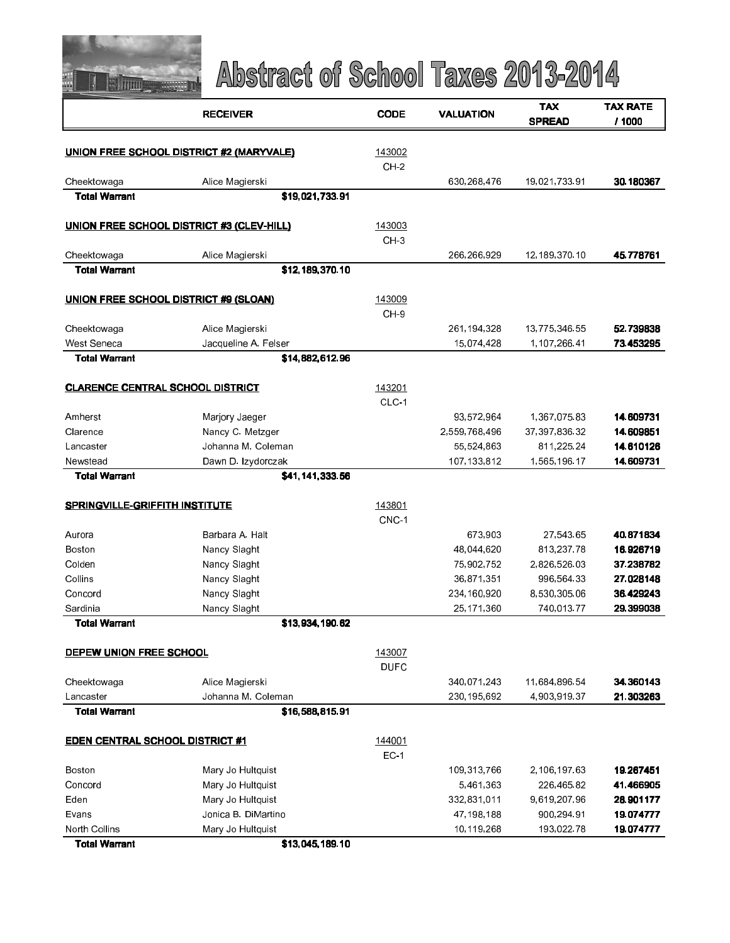

|                                         | <b>RECEIVER</b>                                  | <b>CODE</b>               | <b>VALUATION</b>              | TAX                            | TAX RATE               |
|-----------------------------------------|--------------------------------------------------|---------------------------|-------------------------------|--------------------------------|------------------------|
|                                         |                                                  |                           |                               | <b>SPREAD</b>                  | / 1000                 |
|                                         | <b>UNION FREE SCHOOL DISTRICT #2 (MARYVALE)</b>  | 143002                    |                               |                                |                        |
|                                         |                                                  | $CH-2$                    |                               |                                |                        |
| Cheektowaga                             | Alice Magierski                                  |                           | 630,268,476                   | 19,021,733.91                  | 30.180367              |
| <b>Total Warrant</b>                    | \$19,021,733.91                                  |                           |                               |                                |                        |
|                                         | <b>UNION FREE SCHOOL DISTRICT #3 (CLEV-HILL)</b> | 143003                    |                               |                                |                        |
|                                         |                                                  | $CH-3$                    |                               |                                |                        |
| Cheektowaga                             | Alice Magierski                                  |                           | 266,266,929                   | 12,189,370.10                  | 45.778761              |
| <b>Total Warrant</b>                    | \$12,189,370.10                                  |                           |                               |                                |                        |
|                                         |                                                  |                           |                               |                                |                        |
|                                         | UNION FREE SCHOOL DISTRICT #9 (SLOAN)            | 143009<br>CH <sub>9</sub> |                               |                                |                        |
| Cheektowaga                             | Alice Magierski                                  |                           | 261, 194, 328                 | 13,775,346.55                  | 52.739838              |
| West Seneca                             | Jacqueline A. Felser                             |                           | 15,074,428                    | 1,107,266.41                   | 73.453295              |
| <b>Total Warrant</b>                    | \$14,882,612.96                                  |                           |                               |                                |                        |
|                                         |                                                  |                           |                               |                                |                        |
| <b>CLARENCE CENTRAL SCHOOL DISTRICT</b> |                                                  | 143201                    |                               |                                |                        |
|                                         |                                                  | CLC-1                     |                               |                                |                        |
| Amherst<br>Clarence                     | Marjory Jaeger                                   |                           | 93,572,964                    | 1,367,075.83                   | 14.609731              |
| Lancaster                               | Nancy C. Metzger<br>Johanna M. Coleman           |                           | 2,559,768,496<br>55, 524, 863 | 37, 397, 836. 32<br>811,225.24 | 14.609851<br>14.610126 |
| Newstead                                | Dawn D. Izydorczak                               |                           | 107,133,812                   | 1,565,196.17                   | 14.609731              |
| <b>Total Warrant</b>                    | \$41,141,333.56                                  |                           |                               |                                |                        |
|                                         |                                                  |                           |                               |                                |                        |
| <b>SPRINGVILLE-GRIFFITH INSTITUTE</b>   |                                                  | 143801                    |                               |                                |                        |
|                                         |                                                  | CNC-1                     |                               |                                |                        |
| Aurora                                  | Barbara A. Halt                                  |                           | 673,903                       | 27,543.65                      | 40.871834              |
| Boston                                  | Nancy Slaght                                     |                           | 48,044,620                    | 813,237.78                     | 16.926719              |
| Colden                                  | Nancy Slaght                                     |                           | 75,902,752                    | 2,826,526.03                   | 37.238782              |
| Collins                                 | Nancy Slaght                                     |                           | 36 871 351                    | 996,564.33                     | 27.028148              |
| Concord                                 | Nancy Slaght                                     |                           | 234,160,920                   | 8,530,305.06                   | 36.429243              |
| Sardinia<br><b>Total Warrant</b>        | Nancy Slaght<br>\$13,934,190.62                  |                           | 25,171,360                    | 740,013.77                     | 29.399038              |
|                                         |                                                  |                           |                               |                                |                        |
| DEPEW UNION FREE SCHOOL                 |                                                  | 143007                    |                               |                                |                        |
|                                         |                                                  | <b>DUFC</b>               |                               |                                |                        |
| Cheektowaga                             | Alice Magierski                                  |                           | 340,071,243                   | 11,684,896.54                  | 34.360143              |
| Lancaster                               | Johanna M. Coleman                               |                           | 230,195,692                   | 4,903,919.37                   | 21.303263              |
| <b>Total Warrant</b>                    | \$16,588,815.91                                  |                           |                               |                                |                        |
| <b>EDEN CENTRAL SCHOOL DISTRICT #1</b>  |                                                  | 144001                    |                               |                                |                        |
|                                         |                                                  | $EC-1$                    |                               |                                |                        |
| Boston                                  | Mary Jo Hultquist                                |                           | 109,313,766                   | 2,106,197.63                   | 19.267451              |
| Concord                                 | Mary Jo Hultquist                                |                           | 5 461 363                     | 226,465.82                     | 41.466905              |
| Eden                                    | Mary Jo Hultquist                                |                           | 332,831,011                   | 9,619,207.96                   | 28.901177              |
| Evans                                   | Jonica B. DiMartino                              |                           | 47,198,188                    | 900,294.91                     | 19.074777              |
| North Collins                           | Mary Jo Hultquist                                |                           | 10,119,268                    | 193,022.78                     | 19.074777              |
| <b>Total Warrant</b>                    | \$13,045,189.10                                  |                           |                               |                                |                        |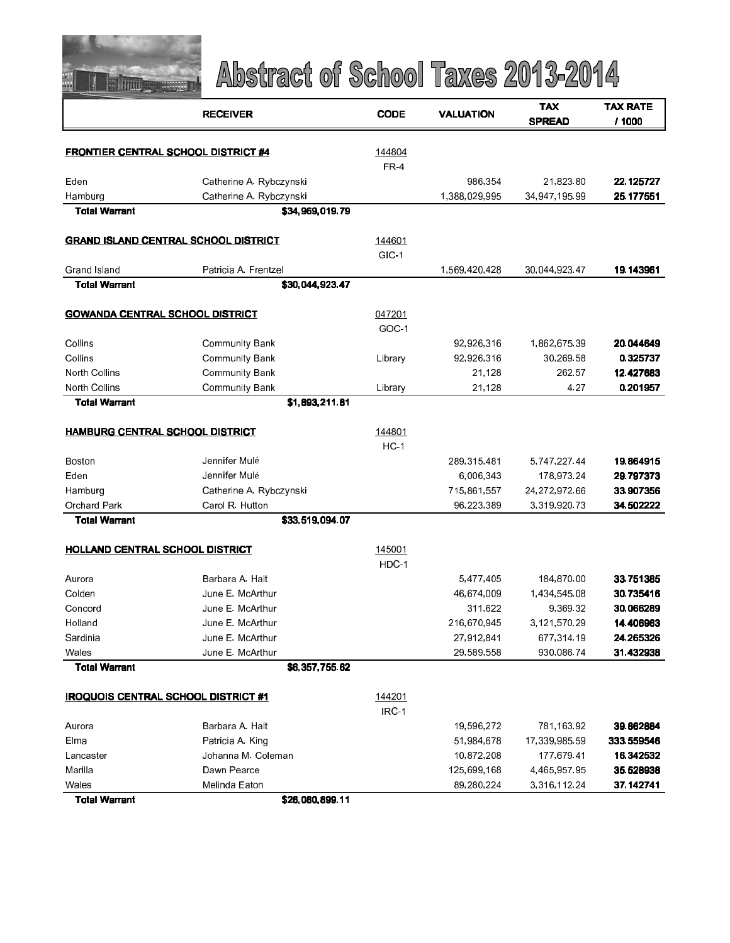

|                                            | <b>RECEIVER</b>                             | <b>CODE</b>    | <b>VALUATION</b> | <b>TAX</b>    | <b>TAX RATE</b> |
|--------------------------------------------|---------------------------------------------|----------------|------------------|---------------|-----------------|
|                                            |                                             |                |                  | <b>SPREAD</b> | / 1000          |
|                                            |                                             |                |                  |               |                 |
| <b>FRONTIER CENTRAL SCHOOL DISTRICT #4</b> |                                             | 144804<br>FR-4 |                  |               |                 |
| Eden                                       | Catherine A. Rybczynski                     |                | 986,354          | 21,823.80     | 22.125727       |
| Hamburg                                    | Catherine A. Rybczynski                     |                | 1,388,029,995    | 34,947,195.99 | 25.177551       |
| <b>Total Warrant</b>                       | \$34,969,019.79                             |                |                  |               |                 |
|                                            |                                             |                |                  |               |                 |
|                                            | <b>GRAND ISLAND CENTRAL SCHOOL DISTRICT</b> | 144601         |                  |               |                 |
|                                            |                                             | GIC-1          |                  |               |                 |
| Grand Island                               | Patricia A Frentzel                         |                | 1,569,420,428    | 30,044,923.47 | 19.143961       |
| <b>Total Warrant</b>                       | \$30,044,923.47                             |                |                  |               |                 |
|                                            |                                             |                |                  |               |                 |
| <b>GOWANDA CENTRAL SCHOOL DISTRICT</b>     |                                             | 047201         |                  |               |                 |
|                                            |                                             | GOC-1          |                  |               |                 |
| Collins                                    | <b>Community Bank</b>                       |                | 92,926,316       | 1,862,675.39  | 20.044649       |
| Collins                                    | <b>Community Bank</b>                       | Library        | 92,926,316       | 30,269.58     | 0.325737        |
| North Collins                              | <b>Community Bank</b>                       |                | 21,128           | 262.57        | 12.427683       |
| North Collins                              | <b>Community Bank</b>                       | Library        | 21,128           | 4 27          | 0.201957        |
| <b>Total Warrant</b>                       | \$1,893,211.81                              |                |                  |               |                 |
| <b>HAMBURG CENTRAL SCHOOL DISTRICT</b>     |                                             | 144801         |                  |               |                 |
|                                            |                                             | $HC-1$         |                  |               |                 |
| Boston                                     | Jennifer Mulé                               |                | 289,315,481      | 5,747,22744   | 19.864915       |
| Eden                                       | Jennifer Mulé                               |                | 6,006,343        | 178,973.24    | 29.797373       |
| Hamburg                                    | Catherine A. Rybczynski                     |                | 715,861,557      | 24,272,972.66 | 33.907356       |
| Orchard Park                               | Carol R. Hutton                             |                | 96,223,389       | 3,319,920.73  | 34.502222       |
| <b>Total Warrant</b>                       | \$33,519,094.07                             |                |                  |               |                 |
| <b>HOLLAND CENTRAL SCHOOL DISTRICT</b>     |                                             | 145001         |                  |               |                 |
|                                            |                                             | HDC-1          |                  |               |                 |
| Aurora                                     | Barbara A. Halt                             |                | 5,477,405        | 184,870.00    | 33.751385       |
| Colden                                     | June E. McArthur                            |                | 46,674,009       | 1,434,545.08  | 30.735416       |
| Concord                                    | June E. McArthur                            |                | 311,622          | 9,369.32      | 30.066289       |
| Holland                                    | June E. McArthur                            |                | 216,670,945      | 3,121,570.29  | 14.406963       |
| Sardinia                                   | June E. McArthur                            |                | 27,912,841       | 677,314.19    | 24.265326       |
| Wales                                      | June E. McArthur                            |                | 29,589,558       | 930,086.74    | 31.432938       |
| <b>Total Warrant</b>                       | \$6,357,755.62                              |                |                  |               |                 |
|                                            |                                             |                |                  |               |                 |
| <b>IROQUOIS CENTRAL SCHOOL DISTRICT #1</b> |                                             | 144201         |                  |               |                 |
|                                            |                                             | IRC-1          |                  |               |                 |
| Aurora                                     | Barbara A. Halt                             |                | 19,596,272       | 781,163.92    | 39.862884       |
| Elma                                       | Patricia A. King                            |                | 51,984,678       | 17,339,985.59 | 333.559546      |
| Lancaster                                  | Johanna M. Coleman                          |                | 10,872,208       | 177 679 41    | 16.342532       |
| Marilla                                    | Dawn Pearce                                 |                | 125,699,168      | 4,465,957.95  | 35.528938       |
| Wales<br><b>Total Warrant</b>              | Melinda Eaton<br>\$26,080,899.11            |                | 89,280,224       | 3,316,112.24  | 37.142741       |
|                                            |                                             |                |                  |               |                 |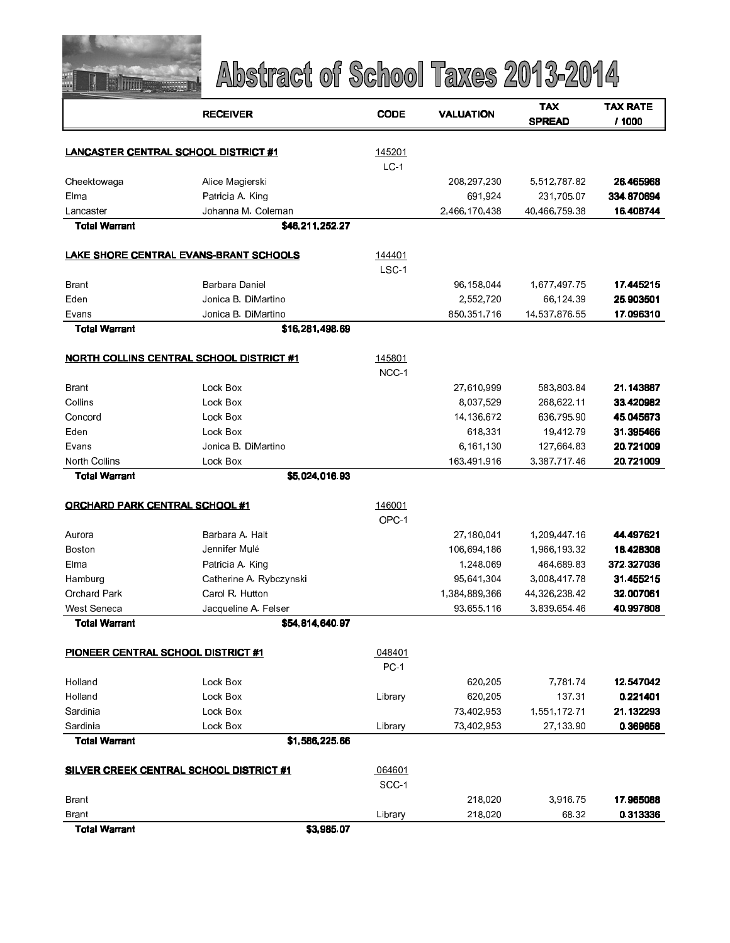

|                                       | <b>RECEIVER</b>                                 | <b>CODE</b>      | <b>VALUATION</b>           | <b>TAX</b><br><b>SPREAD</b> | <b>TAX RATE</b><br>/ 1000 |
|---------------------------------------|-------------------------------------------------|------------------|----------------------------|-----------------------------|---------------------------|
|                                       |                                                 |                  |                            |                             |                           |
|                                       | LANCASTER CENTRAL SCHOOL DISTRICT #1            | 145201           |                            |                             |                           |
|                                       |                                                 | LC <sub>1</sub>  |                            |                             |                           |
| Cheektowaga<br>Elma                   | Alice Magierski                                 |                  | 208, 297, 230              | 5,512,787.82                | 26.465968<br>334.870694   |
| Lancaster                             | Patricia A. King<br>Johanna M. Coleman          |                  | 691,924<br>2,466,170,438   | 231,705.07<br>40,466,759.38 | 16.408744                 |
| <b>Total Warrant</b>                  | \$46,211,252.27                                 |                  |                            |                             |                           |
|                                       |                                                 |                  |                            |                             |                           |
|                                       | LAKE SHORE CENTRAL EVANS-BRANT SCHOOLS          | 144401           |                            |                             |                           |
|                                       |                                                 | LSC <sub>1</sub> |                            |                             |                           |
| Brant                                 | Barbara Daniel                                  |                  | 96,158,044                 | 1,677,497.75                | 17.445215                 |
| Eden<br>Evans                         | Jonica B. DiMartino<br>Jonica B. DiMartino      |                  | 2,552,720<br>850, 351, 716 | 66,124.39<br>14,537,876.55  | 25.903501<br>17.096310    |
| <b>Total Warrant</b>                  | \$16,281,498.69                                 |                  |                            |                             |                           |
|                                       |                                                 |                  |                            |                             |                           |
|                                       | <b>NORTH COLLINS CENTRAL SCHOOL DISTRICT #1</b> | 145801           |                            |                             |                           |
|                                       |                                                 | NCC-1            |                            |                             |                           |
| Brant                                 | Lock Box                                        |                  | 27,610,999                 | 583,803.84                  | 21.143887                 |
| Collins                               | Lock Box                                        |                  | 8,037,529                  | 268,622.11                  | 33.420982                 |
| Concord                               | Lock Box                                        |                  | 14,136,672                 | 636,795.90                  | 45.045673                 |
| Eden                                  | Lock Box                                        |                  | 618,331                    | 19,412.79                   | 31.395466                 |
| Evans                                 | Jonica B. DiMartino                             |                  | 6,161,130                  | 127,664.83                  | 20.721009                 |
| North Collins                         | Lock Box                                        |                  | 163,491,916                | 3,387,71746                 | 20.721009                 |
| <b>Total Warrant</b>                  | \$5,024,016.93                                  |                  |                            |                             |                           |
| <b>ORCHARD PARK CENTRAL SCHOOL #1</b> |                                                 | 146001           |                            |                             |                           |
|                                       |                                                 | OPC-1            |                            |                             |                           |
| Aurora                                | Barbara A. Halt                                 |                  | 27,180,041                 | 1,209,447.16                | 44.497621                 |
| Boston                                | Jennifer Mulé                                   |                  | 106,694,186                | 1,966,193.32                | 18.428308                 |
| Elma                                  | Patricia A. King                                |                  | 1,248,069                  | 464,689.83                  | 372.327036                |
| Hamburg                               | Catherine A. Rybczynski                         |                  | 95,641,304                 | 3,008,417.78                | 31.455215                 |
| <b>Orchard Park</b>                   | Carol R. Hutton                                 |                  | 1,384,889,366              | 44, 326, 238.42             | 32.007061                 |
| West Seneca                           | Jacqueline A. Felser                            |                  | 93,655,116                 | 3,839,654.46                | 40.997808                 |
| Total Warrant                         | \$54,814,640.97                                 |                  |                            |                             |                           |
| PIONEER CENTRAL SCHOOL DISTRICT #1    |                                                 | 048401           |                            |                             |                           |
|                                       |                                                 | PC-1             |                            |                             |                           |
| Holland                               | Lock Box                                        |                  | 620,205                    | 7,781.74                    | 12 547042                 |
| Holland                               | Lock Box                                        | Library          | 620,205                    | 137.31                      | 0.221401                  |
| Sardinia                              | Lock Box                                        |                  | 73,402,953                 | 1,551,172.71                | 21.132293                 |
| Sardinia                              | Lock Box                                        | Library          | 73,402,953                 | 27,133.90                   | 0.369658                  |
| <b>Total Warrant</b>                  | \$1,586,225.66                                  |                  |                            |                             |                           |
|                                       | <b>SILVER CREEK CENTRAL SCHOOL DISTRICT #1</b>  | 064601           |                            |                             |                           |
|                                       |                                                 | SCC-1            |                            |                             |                           |
| Brant                                 |                                                 |                  | 218,020                    | 3,916.75                    | 17.965088                 |
| <b>Brant</b>                          |                                                 | Library          | 218,020                    | 68.32                       | 0.313336                  |
| <b>Total Warrant</b>                  | \$3,985.07                                      |                  |                            |                             |                           |